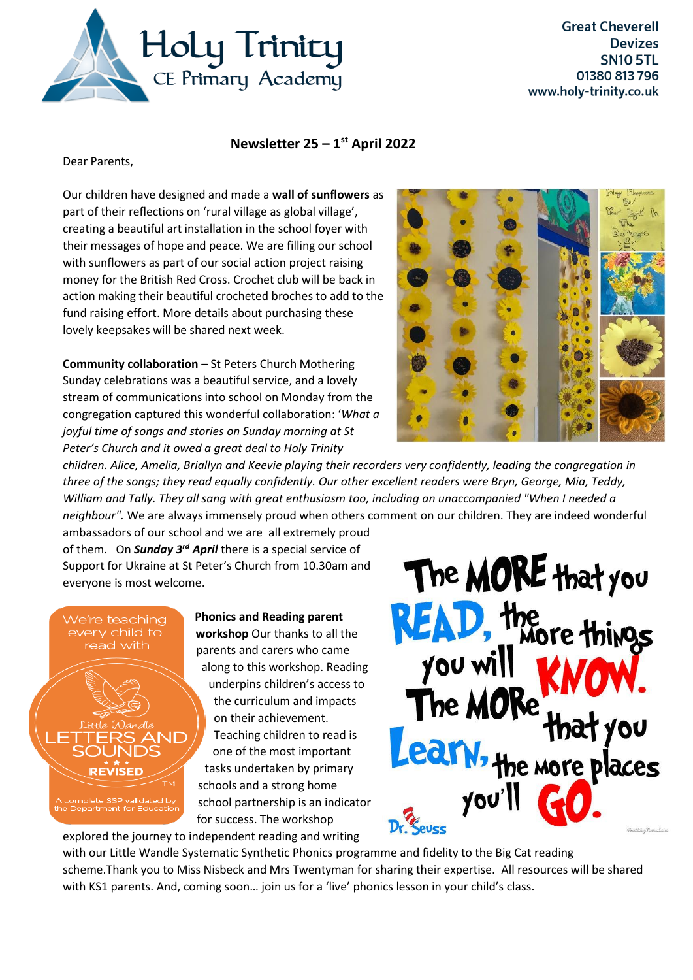

## **Newsletter 25 – 1 st April 2022**

Dear Parents,

Our children have designed and made a **wall of sunflowers** as part of their reflections on 'rural village as global village', creating a beautiful art installation in the school foyer with their messages of hope and peace. We are filling our school with sunflowers as part of our social action project raising money for the British Red Cross. Crochet club will be back in action making their beautiful crocheted broches to add to the fund raising effort. More details about purchasing these lovely keepsakes will be shared next week.

**Community collaboration** – St Peters Church Mothering Sunday celebrations was a beautiful service, and a lovely stream of communications into school on Monday from the congregation captured this wonderful collaboration: '*What a joyful time of songs and stories on Sunday morning at St Peter's Church and it owed a great deal to Holy Trinity* 



*children. Alice, Amelia, Briallyn and Keevie playing their recorders very confidently, leading the congregation in three of the songs; they read equally confidently. Our other excellent readers were Bryn, George, Mia, Teddy, William and Tally. They all sang with great enthusiasm too, including an unaccompanied "When I needed a neighbour".* We are always immensely proud when others comment on our children. They are indeed wonderful

ambassadors of our school and we are all extremely proud of them. On *Sunday 3 rd April* there is a special service of Support for Ukraine at St Peter's Church from 10.30am and everyone is most welcome.

We're teaching every child to read with

te SSP validated by<br>tment for Education

**Phonics and Reading parent** 

**workshop** Our thanks to all the parents and carers who came along to this workshop. Reading underpins children's access to the curriculum and impacts on their achievement. Teaching children to read is one of the most important tasks undertaken by primary schools and a strong home school partnership is an indicator for success. The workshop





with our Little Wandle Systematic Synthetic Phonics programme and fidelity to the Big Cat reading scheme.Thank you to Miss Nisbeck and Mrs Twentyman for sharing their expertise. All resources will be shared with KS1 parents. And, coming soon... join us for a 'live' phonics lesson in your child's class.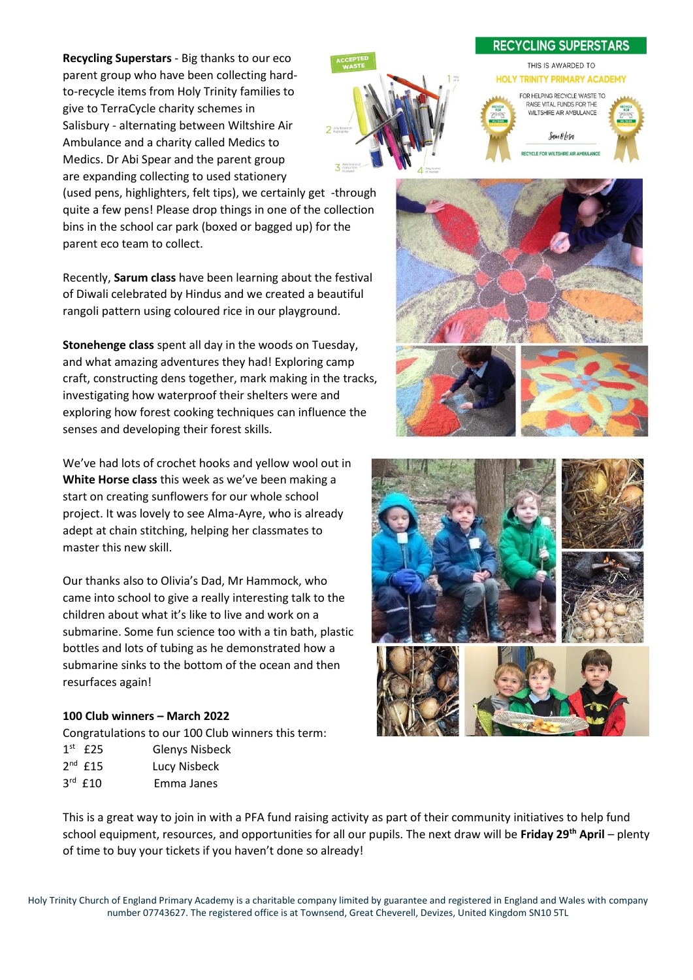**Recycling Superstars** - Big thanks to our eco parent group who have been collecting hardto-recycle items from Holy Trinity families to give to TerraCycle charity schemes in Salisbury - alternating between Wiltshire Air Ambulance and a charity called Medics to Medics. Dr Abi Spear and the parent group are expanding collecting to used stationery

**RECYCLING SUPERSTARS** THIS IS AWARDED TO **HOLY TRINITY PRIMARY ACADEMY** FOR HELPING RECYCLE WASTE TO RAISE VITAL FUNDS FOR THE WILTSHIRE AIR AMBULANCE Sam &lesa **CLE COD WE TOURE AID AMBIE AND** 

(used pens, highlighters, felt tips), we certainly get -through quite a few pens! Please drop things in one of the collection bins in the school car park (boxed or bagged up) for the parent eco team to collect.

Recently, **Sarum class** have been learning about the festival of Diwali celebrated by Hindus and we created a beautiful rangoli pattern using coloured rice in our playground.

**Stonehenge class** spent all day in the woods on Tuesday, and what amazing adventures they had! Exploring camp craft, constructing dens together, mark making in the tracks, investigating how waterproof their shelters were and exploring how forest cooking techniques can influence the senses and developing their forest skills.

We've had lots of crochet hooks and yellow wool out in **White Horse class** this week as we've been making a start on creating sunflowers for our whole school project. It was lovely to see Alma-Ayre, who is already adept at chain stitching, helping her classmates to master this new skill.

Our thanks also to Olivia's Dad, Mr Hammock, who came into school to give a really interesting talk to the children about what it's like to live and work on a submarine. Some fun science too with a tin bath, plastic bottles and lots of tubing as he demonstrated how a submarine sinks to the bottom of the ocean and then resurfaces again!

## **100 Club winners – March 2022**

Congratulations to our 100 Club winners this term:

| $1st$ £25    | <b>Glenys Nisbeck</b> |
|--------------|-----------------------|
| $2^{nd}$ £15 | Lucy Nisbeck          |
| $3rd$ £10    | Emma Janes            |





This is a great way to join in with a PFA fund raising activity as part of their community initiatives to help fund school equipment, resources, and opportunities for all our pupils. The next draw will be **Friday 29th April** – plenty of time to buy your tickets if you haven't done so already!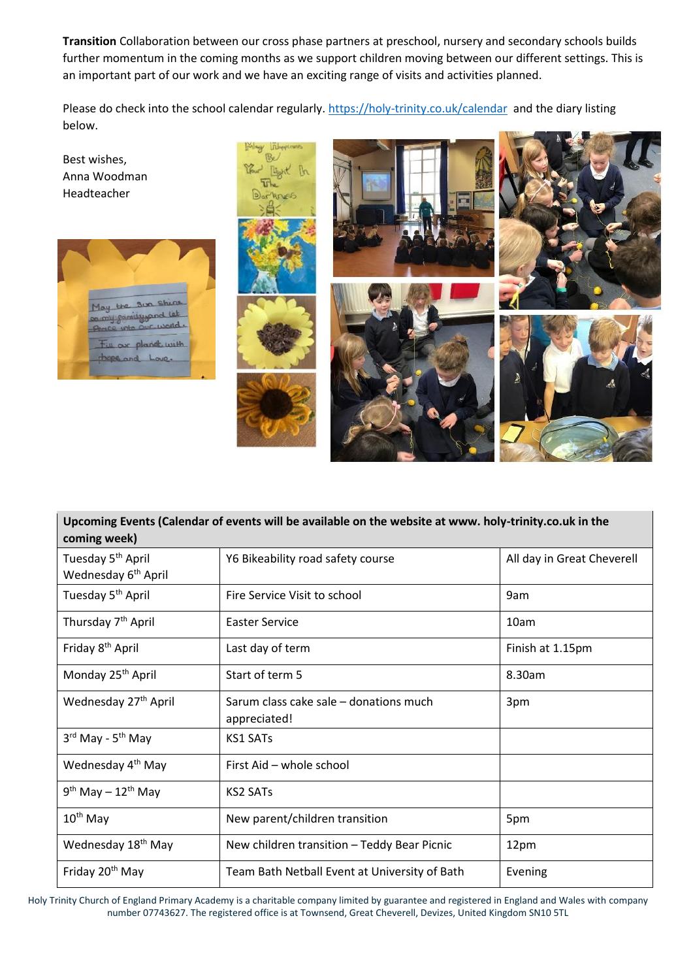**Transition** Collaboration between our cross phase partners at preschool, nursery and secondary schools builds further momentum in the coming months as we support children moving between our different settings. This is an important part of our work and we have an exciting range of visits and activities planned.

Please do check into the school calendar regularly.<https://holy-trinity.co.uk/calendar>and the diary listing below.



## **Upcoming Events (Calendar of events will be available on the website at www. holy-trinity.co.uk in the coming week)**

| Tuesday 5 <sup>th</sup> April    | Y6 Bikeability road safety course                      | All day in Great Cheverell |
|----------------------------------|--------------------------------------------------------|----------------------------|
| Wednesday 6 <sup>th</sup> April  |                                                        |                            |
| Tuesday 5 <sup>th</sup> April    | Fire Service Visit to school                           | 9am                        |
| Thursday 7 <sup>th</sup> April   | <b>Easter Service</b>                                  | 10am                       |
| Friday 8 <sup>th</sup> April     | Last day of term                                       | Finish at 1.15pm           |
| Monday 25 <sup>th</sup> April    | Start of term 5                                        | 8.30am                     |
| Wednesday 27 <sup>th</sup> April | Sarum class cake sale - donations much<br>appreciated! | 3pm                        |
| 3rd May - 5 <sup>th</sup> May    | <b>KS1 SATs</b>                                        |                            |
| Wednesday 4 <sup>th</sup> May    | First Aid - whole school                               |                            |
| $9th$ May - 12 <sup>th</sup> May | <b>KS2 SATs</b>                                        |                            |
| 10 <sup>th</sup> May             | New parent/children transition                         | 5pm                        |
| Wednesday 18 <sup>th</sup> May   | New children transition - Teddy Bear Picnic            | 12pm                       |
| Friday 20 <sup>th</sup> May      | Team Bath Netball Event at University of Bath          | Evening                    |

Holy Trinity Church of England Primary Academy is a charitable company limited by guarantee and registered in England and Wales with company number 07743627. The registered office is at Townsend, Great Cheverell, Devizes, United Kingdom SN10 5TL